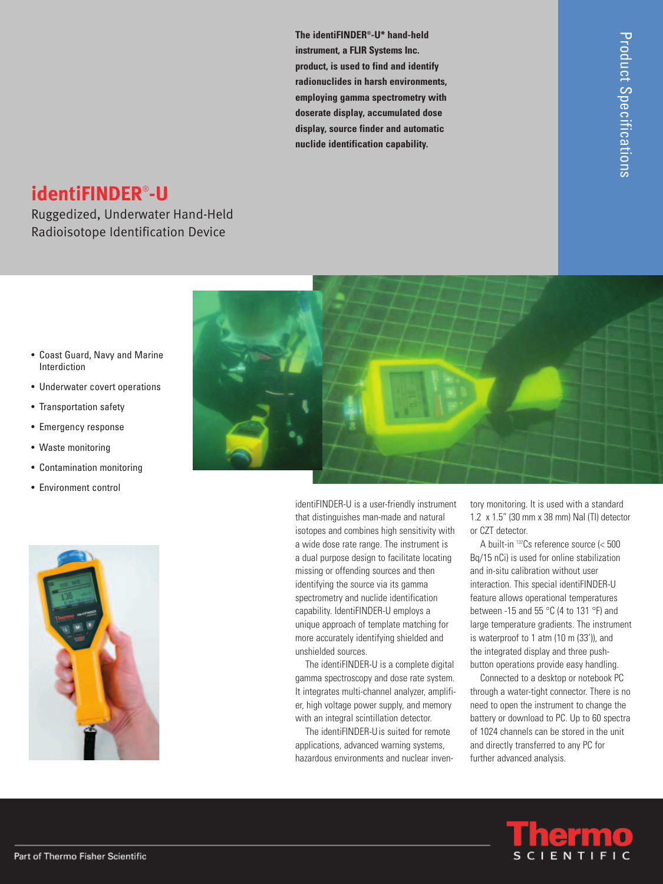**The identiFINDER®-U\* hand-held instrument, a FLIR Systems Inc. product, is used to find and identify radionuclides in harsh environments, employing gamma spectrometry with doserate display, accumulated dose display, source finder and automatic nuclide identification capability.**

# **identiFINDER**® **-U**

Ruggedized, Underwater Hand-Held Radioisotope Identification Device



- Coast Guard, Navy and Marine Interdiction
- Underwater covert operations
- Transportation safety
- Emergency response
- Waste monitoring
- Contamination monitoring
- Environment control



identiFINDER-U is a user-friendly instrument that distinguishes man-made and natural isotopes and combines high sensitivity with a wide dose rate range. The instrument is a dual purpose design to facilitate locating missing or offending sources and then identifying the source via its gamma spectrometry and nuclide identification capability. IdentiFINDER-U employs a unique approach of template matching for more accurately identifying shielded and unshielded sources.

The identiFINDER-U is a complete digital gamma spectroscopy and dose rate system. It integrates multi-channel analyzer, amplifier, high voltage power supply, and memory with an integral scintillation detector.

The identiFINDER-Uis suited for remote applications, advanced warning systems, hazardous environments and nuclear inventory monitoring. It is used with a standard 1.2 x 1.5" (30 mm x 38 mm) NaI (TI) detector or CZT detector.

A built-in <sup>137</sup> Cs reference source (< 500 Bq/15 nCi) is used for online stabilization and in-situ calibration without user interaction. This special identiFINDER-U feature allows operational temperatures between -15 and 55 °C (4 to 131 °F) and large temperature gradients. The instrument is waterproof to 1 atm (10 m (33')), and the integrated display and three pushbutton operations provide easy handling.

Connected to a desktop or notebook PC through a water-tight connector. There is no need to open the instrument to change the battery or download to PC. Up to 60 spectra of 1024 channels can be stored in the unit and directly transferred to any PC for further advanced analysis.